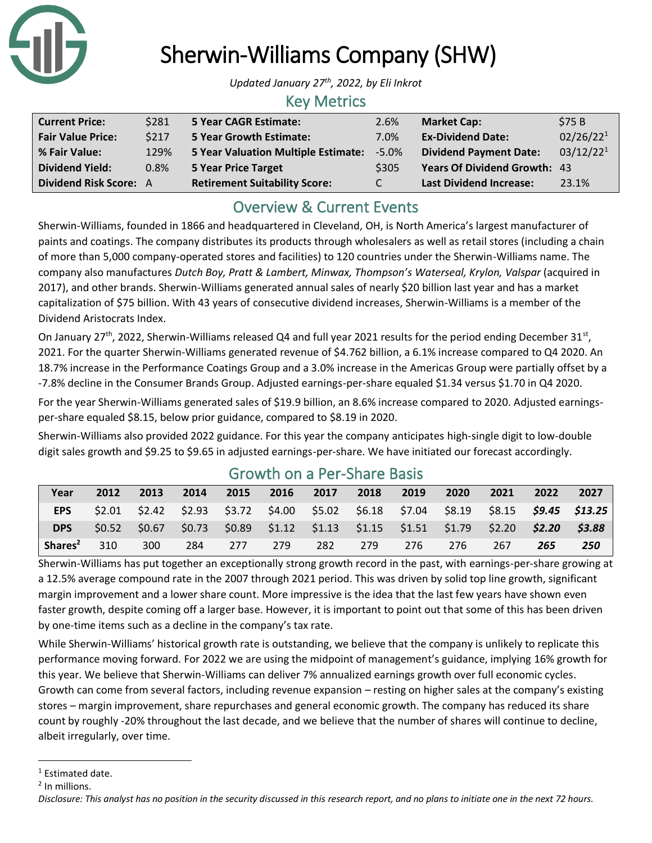

# Sherwin-Williams Company (SHW)

*Updated January 27th , 2022, by Eli Inkrot*

### Key Metrics

| <b>Current Price:</b>    | \$281       | <b>5 Year CAGR Estimate:</b>         | 2.6%    | <b>Market Cap:</b>                  | \$75B                 |
|--------------------------|-------------|--------------------------------------|---------|-------------------------------------|-----------------------|
| <b>Fair Value Price:</b> | <b>S217</b> | <b>5 Year Growth Estimate:</b>       | 7.0%    | <b>Ex-Dividend Date:</b>            | 02/26/22 <sup>1</sup> |
| % Fair Value:            | 129%        | 5 Year Valuation Multiple Estimate:  | $-5.0%$ | <b>Dividend Payment Date:</b>       | 03/12/22 <sup>1</sup> |
| <b>Dividend Yield:</b>   | 0.8%        | <b>5 Year Price Target</b>           | \$305   | <b>Years Of Dividend Growth: 43</b> |                       |
| Dividend Risk Score: A   |             | <b>Retirement Suitability Score:</b> | C.      | <b>Last Dividend Increase:</b>      | 23.1%                 |

## Overview & Current Events

Sherwin-Williams, founded in 1866 and headquartered in Cleveland, OH, is North America's largest manufacturer of paints and coatings. The company distributes its products through wholesalers as well as retail stores (including a chain of more than 5,000 company-operated stores and facilities) to 120 countries under the Sherwin-Williams name. The company also manufactures *Dutch Boy, Pratt & Lambert, Minwax, Thompson's Waterseal, Krylon, Valspar* (acquired in 2017), and other brands. Sherwin-Williams generated annual sales of nearly \$20 billion last year and has a market capitalization of \$75 billion. With 43 years of consecutive dividend increases, Sherwin-Williams is a member of the Dividend Aristocrats Index.

On January 27<sup>th</sup>, 2022, Sherwin-Williams released Q4 and full year 2021 results for the period ending December 31<sup>st</sup>, 2021. For the quarter Sherwin-Williams generated revenue of \$4.762 billion, a 6.1% increase compared to Q4 2020. An 18.7% increase in the Performance Coatings Group and a 3.0% increase in the Americas Group were partially offset by a -7.8% decline in the Consumer Brands Group. Adjusted earnings-per-share equaled \$1.34 versus \$1.70 in Q4 2020.

For the year Sherwin-Williams generated sales of \$19.9 billion, an 8.6% increase compared to 2020. Adjusted earningsper-share equaled \$8.15, below prior guidance, compared to \$8.19 in 2020.

Sherwin-Williams also provided 2022 guidance. For this year the company anticipates high-single digit to low-double digit sales growth and \$9.25 to \$9.65 in adjusted earnings-per-share. We have initiated our forecast accordingly.

| Year                | 2012              | 2013   | 2014 | 2015 | 2016                                                    | 2017 | 2018 | 2019 | 2020                                                                    | 2021 | 2022 | 2027                     |
|---------------------|-------------------|--------|------|------|---------------------------------------------------------|------|------|------|-------------------------------------------------------------------------|------|------|--------------------------|
| <b>EPS</b>          | S <sub>2.01</sub> |        |      |      | $$2.42$ $$2.93$ $$3.72$ $$4.00$ $$5.02$ $$6.18$ $$7.04$ |      |      |      | \$8.19                                                                  |      |      | $$8.15$ $$9.45$ $$13.25$ |
| <b>DPS</b>          | 50.52             | \$0.67 |      |      |                                                         |      |      |      | $$0.73$ $$0.89$ $$1.12$ $$1.13$ $$1.15$ $$1.51$ $$1.79$ $$2.20$ $$2.20$ |      |      | \$3.88                   |
| Shares <sup>2</sup> | 310               | 300    | 284  | 277  | 279                                                     | 282  | 279  | 276  | 276                                                                     | 267  | 265  | 250                      |

## Growth on a Per-Share Basis

Sherwin-Williams has put together an exceptionally strong growth record in the past, with earnings-per-share growing at a 12.5% average compound rate in the 2007 through 2021 period. This was driven by solid top line growth, significant margin improvement and a lower share count. More impressive is the idea that the last few years have shown even faster growth, despite coming off a larger base. However, it is important to point out that some of this has been driven by one-time items such as a decline in the company's tax rate.

While Sherwin-Williams' historical growth rate is outstanding, we believe that the company is unlikely to replicate this performance moving forward. For 2022 we are using the midpoint of management's guidance, implying 16% growth for this year. We believe that Sherwin-Williams can deliver 7% annualized earnings growth over full economic cycles. Growth can come from several factors, including revenue expansion – resting on higher sales at the company's existing stores – margin improvement, share repurchases and general economic growth. The company has reduced its share count by roughly -20% throughout the last decade, and we believe that the number of shares will continue to decline, albeit irregularly, over time.

<sup>&</sup>lt;sup>1</sup> Estimated date.

<sup>&</sup>lt;sup>2</sup> In millions.

*Disclosure: This analyst has no position in the security discussed in this research report, and no plans to initiate one in the next 72 hours.*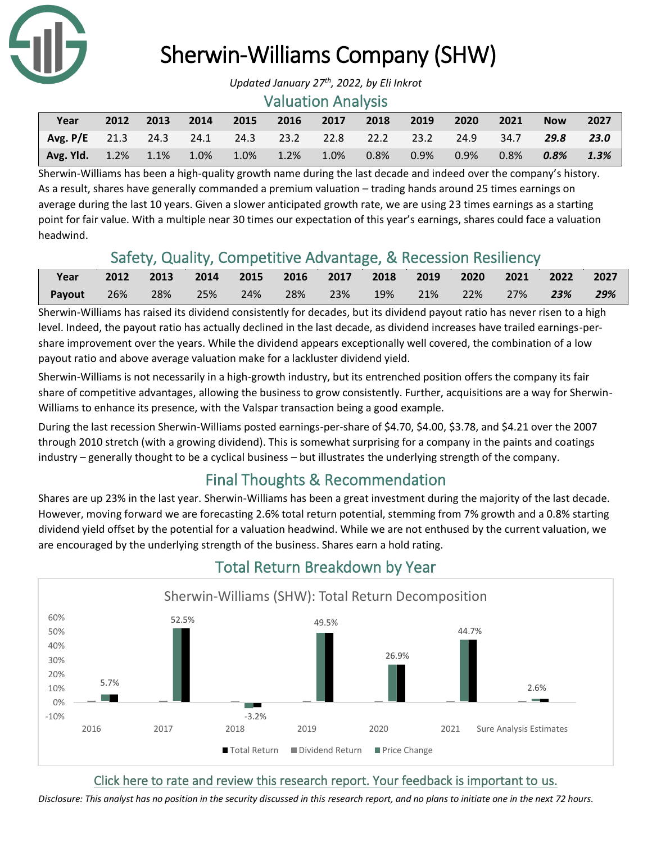

## Sherwin-Williams Company (SHW)

#### Valuation Analysis

| Year                                                       | 2012 | 2013 | 2014 | 2015 2016 | 2017 | 2018    | 2019    | $\sim$ 2020 $\sim$ | $-2021$ | <b>Now</b> | 2027    |
|------------------------------------------------------------|------|------|------|-----------|------|---------|---------|--------------------|---------|------------|---------|
| Avg. P/E 21.3 24.3 24.1 24.3 23.2 22.8 22.2 23.2 24.9 34.7 |      |      |      |           |      |         |         |                    |         | 29.8 23.0  |         |
| Avg. Yld. 1.2% 1.1% 1.0% 1.0% 1.2%                         |      |      |      |           | 1.0% | $0.8\%$ | $0.9\%$ | $0.9\%$            | 0.8%    | 0.8%       | $1.3\%$ |

Sherwin-Williams has been a high-quality growth name during the last decade and indeed over the company's history. As a result, shares have generally commanded a premium valuation – trading hands around 25 times earnings on average during the last 10 years. Given a slower anticipated growth rate, we are using 23 times earnings as a starting point for fair value. With a multiple near 30 times our expectation of this year's earnings, shares could face a valuation headwind.

## Safety, Quality, Competitive Advantage, & Recession Resiliency

| Year   | 2012 2013         | 2014 2015 2016 2017 2018 2019 2020 2021 2022 2027 |  |                                        |  |  |        |
|--------|-------------------|---------------------------------------------------|--|----------------------------------------|--|--|--------|
| Payout | $\sqrt{26\%}$ 28% | $\sim$ 25% $\sim$                                 |  | 24% 28% 23% 19% 21% 22% 27% <b>23%</b> |  |  | $29\%$ |

Sherwin-Williams has raised its dividend consistently for decades, but its dividend payout ratio has never risen to a high level. Indeed, the payout ratio has actually declined in the last decade, as dividend increases have trailed earnings-pershare improvement over the years. While the dividend appears exceptionally well covered, the combination of a low payout ratio and above average valuation make for a lackluster dividend yield.

Sherwin-Williams is not necessarily in a high-growth industry, but its entrenched position offers the company its fair share of competitive advantages, allowing the business to grow consistently. Further, acquisitions are a way for Sherwin-Williams to enhance its presence, with the Valspar transaction being a good example.

During the last recession Sherwin-Williams posted earnings-per-share of \$4.70, \$4.00, \$3.78, and \$4.21 over the 2007 through 2010 stretch (with a growing dividend). This is somewhat surprising for a company in the paints and coatings industry – generally thought to be a cyclical business – but illustrates the underlying strength of the company.

## Final Thoughts & Recommendation

Shares are up 23% in the last year. Sherwin-Williams has been a great investment during the majority of the last decade. However, moving forward we are forecasting 2.6% total return potential, stemming from 7% growth and a 0.8% starting dividend yield offset by the potential for a valuation headwind. While we are not enthused by the current valuation, we are encouraged by the underlying strength of the business. Shares earn a hold rating.



## Total Return Breakdown by Year

#### [Click here to rate and review this research report. Your feedback is important to us.](https://suredividend.typeform.com/to/S0SIkB)

*Disclosure: This analyst has no position in the security discussed in this research report, and no plans to initiate one in the next 72 hours.*

*Updated January 27th , 2022, by Eli Inkrot*